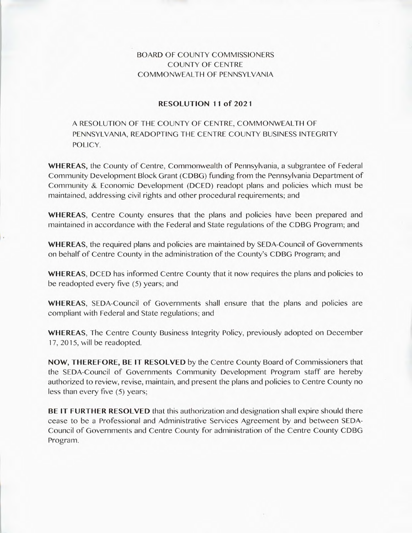## BOARD OF COUNTY COMMISSIONERS COUNTY OF CENTRE COMMONWEALTH OF PENNSYLVANIA

## **RESOLUTION 11 of 2021**

A RESOLUTION OF THE COUNTY OF CENTRE, COMMONWEALTH OF PENNSYLVANIA, READOPTING THE CENTRE COUNTY BUSINESS INTEGRITY POLICY.

**WHEREAS,** the County of Centre, Commonwealth of Pennsylvania, a subgrantee of Federal Community Development Block Grant (CDBG) funding from the Pennsylvania Department of Community & Economic Development (DCED) readopt plans and policies which must be maintained, addressing civil rights and other procedural requirements; and

**WHEREAS,** Centre County ensures that the plans and policies have been prepared and maintained in accordance with the Federal and State regulations of the CDBG Program; and

**WHEREAS,** the required plans and policies are maintained by SEDA-Council of Governments on behalf of Centre County in the administration of the County's CDBG Program; and

**WHEREAS,** DCED has informed Centre County that it now requires the plans and policies to be readopted every five (5) years; and

**WHEREAS,** SEDA-Council of Governments shall ensure that the plans and policies are compliant with Federal and State regulations; and

**WHEREAS,** The Centre County Business Integrity Policy, previously adopted on December 17, 2015, will be readopted.

**NOW, THEREFORE, BE IT RESOLVED** by the Centre County Board of Commissioners that the SEDA-Council of Governments Community Development Program staff are hereby authorized to review, revise, maintain, and present the plans and policies to Centre County no less than every five (5) years;

**BE IT FURTHER RESOLVED** that this authorization and designation shall expire should there cease to be a Professional and Administrative Services Agreement by and between SEDA-Council of Governments and Centre County for administration of the Centre County CDBG Program.